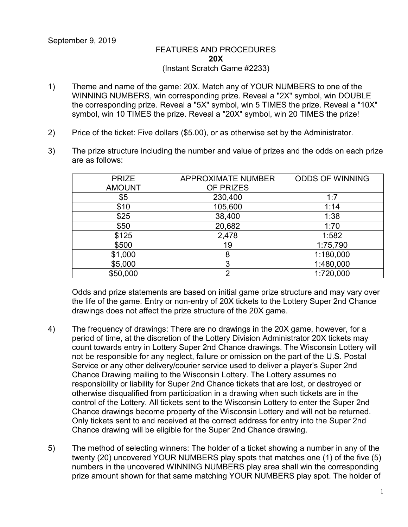## FEATURES AND PROCEDURES **20X** (Instant Scratch Game #2233)

- 1) Theme and name of the game: 20X. Match any of YOUR NUMBERS to one of the WINNING NUMBERS, win corresponding prize. Reveal a "2X" symbol, win DOUBLE the corresponding prize. Reveal a "5X" symbol, win 5 TIMES the prize. Reveal a "10X" symbol, win 10 TIMES the prize. Reveal a "20X" symbol, win 20 TIMES the prize!
- 2) Price of the ticket: Five dollars (\$5.00), or as otherwise set by the Administrator.
- 3) The prize structure including the number and value of prizes and the odds on each prize are as follows:

| <b>PRIZE</b>  | <b>APPROXIMATE NUMBER</b> | <b>ODDS OF WINNING</b> |
|---------------|---------------------------|------------------------|
| <b>AMOUNT</b> | OF PRIZES                 |                        |
| \$5           | 230,400                   | 1:7                    |
| \$10          | 105,600                   | 1:14                   |
| \$25          | 38,400                    | 1:38                   |
| \$50          | 20,682                    | 1:70                   |
| \$125         | 2,478                     | 1:582                  |
| \$500         | 19                        | 1:75,790               |
| \$1,000       | 8                         | 1:180,000              |
| \$5,000       | 3                         | 1:480,000              |
| \$50,000      | 2                         | 1:720,000              |

Odds and prize statements are based on initial game prize structure and may vary over the life of the game. Entry or non-entry of 20X tickets to the Lottery Super 2nd Chance drawings does not affect the prize structure of the 20X game.

- 4) The frequency of drawings: There are no drawings in the 20X game, however, for a period of time, at the discretion of the Lottery Division Administrator 20X tickets may count towards entry in Lottery Super 2nd Chance drawings. The Wisconsin Lottery will not be responsible for any neglect, failure or omission on the part of the U.S. Postal Service or any other delivery/courier service used to deliver a player's Super 2nd Chance Drawing mailing to the Wisconsin Lottery. The Lottery assumes no responsibility or liability for Super 2nd Chance tickets that are lost, or destroyed or otherwise disqualified from participation in a drawing when such tickets are in the control of the Lottery. All tickets sent to the Wisconsin Lottery to enter the Super 2nd Chance drawings become property of the Wisconsin Lottery and will not be returned. Only tickets sent to and received at the correct address for entry into the Super 2nd Chance drawing will be eligible for the Super 2nd Chance drawing.
- 5) The method of selecting winners: The holder of a ticket showing a number in any of the twenty (20) uncovered YOUR NUMBERS play spots that matches one (1) of the five (5) numbers in the uncovered WINNING NUMBERS play area shall win the corresponding prize amount shown for that same matching YOUR NUMBERS play spot. The holder of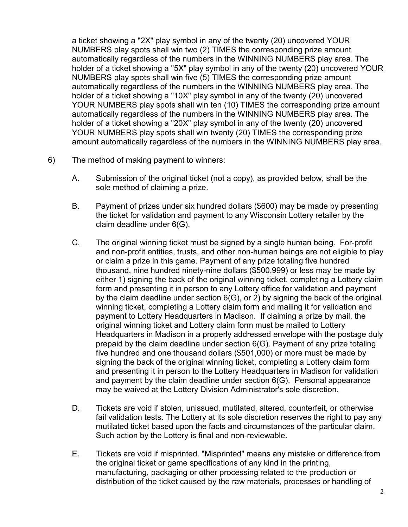a ticket showing a "2X" play symbol in any of the twenty (20) uncovered YOUR NUMBERS play spots shall win two (2) TIMES the corresponding prize amount automatically regardless of the numbers in the WINNING NUMBERS play area. The holder of a ticket showing a "5X" play symbol in any of the twenty (20) uncovered YOUR NUMBERS play spots shall win five (5) TIMES the corresponding prize amount automatically regardless of the numbers in the WINNING NUMBERS play area. The holder of a ticket showing a "10X" play symbol in any of the twenty (20) uncovered YOUR NUMBERS play spots shall win ten (10) TIMES the corresponding prize amount automatically regardless of the numbers in the WINNING NUMBERS play area. The holder of a ticket showing a "20X" play symbol in any of the twenty (20) uncovered YOUR NUMBERS play spots shall win twenty (20) TIMES the corresponding prize amount automatically regardless of the numbers in the WINNING NUMBERS play area.

- 6) The method of making payment to winners:
	- A. Submission of the original ticket (not a copy), as provided below, shall be the sole method of claiming a prize.
	- B. Payment of prizes under six hundred dollars (\$600) may be made by presenting the ticket for validation and payment to any Wisconsin Lottery retailer by the claim deadline under 6(G).
	- C. The original winning ticket must be signed by a single human being. For-profit and non-profit entities, trusts, and other non-human beings are not eligible to play or claim a prize in this game. Payment of any prize totaling five hundred thousand, nine hundred ninety-nine dollars (\$500,999) or less may be made by either 1) signing the back of the original winning ticket, completing a Lottery claim form and presenting it in person to any Lottery office for validation and payment by the claim deadline under section 6(G), or 2) by signing the back of the original winning ticket, completing a Lottery claim form and mailing it for validation and payment to Lottery Headquarters in Madison. If claiming a prize by mail, the original winning ticket and Lottery claim form must be mailed to Lottery Headquarters in Madison in a properly addressed envelope with the postage duly prepaid by the claim deadline under section 6(G). Payment of any prize totaling five hundred and one thousand dollars (\$501,000) or more must be made by signing the back of the original winning ticket, completing a Lottery claim form and presenting it in person to the Lottery Headquarters in Madison for validation and payment by the claim deadline under section 6(G). Personal appearance may be waived at the Lottery Division Administrator's sole discretion.
	- D. Tickets are void if stolen, unissued, mutilated, altered, counterfeit, or otherwise fail validation tests. The Lottery at its sole discretion reserves the right to pay any mutilated ticket based upon the facts and circumstances of the particular claim. Such action by the Lottery is final and non-reviewable.
	- E. Tickets are void if misprinted. "Misprinted" means any mistake or difference from the original ticket or game specifications of any kind in the printing, manufacturing, packaging or other processing related to the production or distribution of the ticket caused by the raw materials, processes or handling of